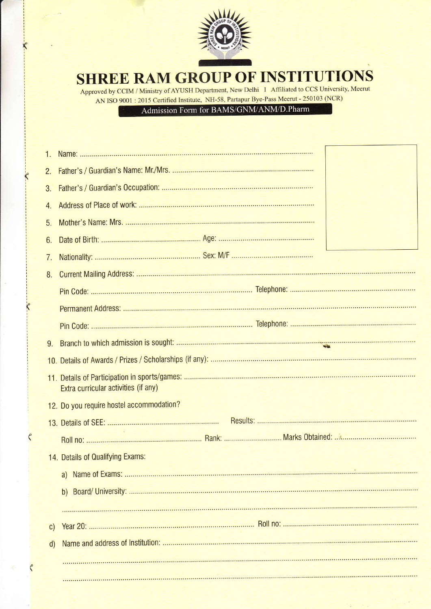

 $\boldsymbol{\kappa}$ 

 $\overline{\mathcal{K}}$ 

 $\zeta$ 

## SHREE RAM GROUP OF INSTITUTIONS

Approved by CCIM / Ministry of AYUSH Department, New Delhi I Affiliated to CCS University, Meerut AN ISO 9001 : 2015 Certified Institute, NH-58, Partapur Bye-Pass Meerut - 250103 (NCR)<br>Admission Form for BAMS/GNM/ANM/D.Pharm

| 1. |                                          |
|----|------------------------------------------|
| 2. |                                          |
| 3. |                                          |
|    |                                          |
| 5. |                                          |
| 6. |                                          |
| 7. |                                          |
| 8. |                                          |
|    |                                          |
|    |                                          |
|    |                                          |
| 9. |                                          |
|    |                                          |
|    | Extra curricular activities (if any)     |
|    | 12. Do you require hostel accommodation? |
|    |                                          |
|    |                                          |
|    | 14. Details of Qualifying Exams:         |
|    |                                          |
|    |                                          |
|    |                                          |
| C) |                                          |
| d) |                                          |
|    |                                          |
|    |                                          |